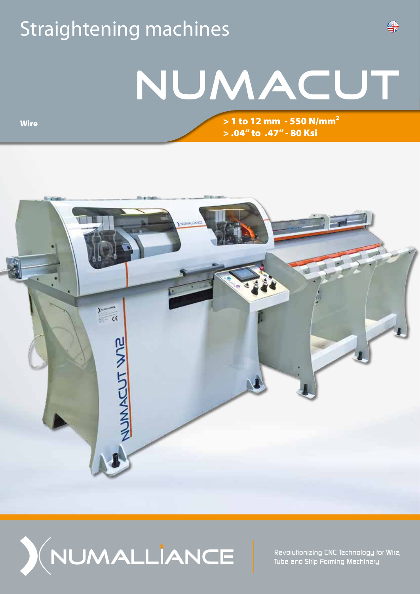## Straightening machines

## NUMACUT

> 1 to 12 mm - 550 N/mm² > .04'' to .47'' - 80 Ksi

₩

 $rac{1}{\epsilon}$ NUMACUT WIP



*Revolutionizing CNC Technology for Wire, Tube and Strip Forming Machinery*

**Wire**